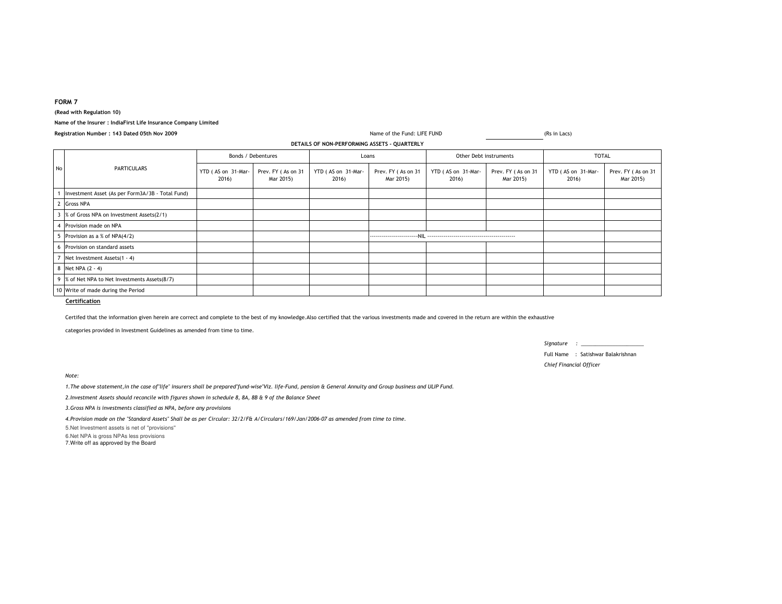## **FORM 7**

**(Read with Regulation 10)**

## **Name of the Insurer : IndiaFirst Life Insurance Company Limited**

|    | DETAILS OF NON-PERFORMING ASSETS - QUARTERLY     |                             |                                 |                             |                                 |                             |                                 |                             |                                 |  |
|----|--------------------------------------------------|-----------------------------|---------------------------------|-----------------------------|---------------------------------|-----------------------------|---------------------------------|-----------------------------|---------------------------------|--|
| No | <b>PARTICULARS</b>                               | Bonds / Debentures          |                                 | Loans                       |                                 | Other Debt instruments      |                                 | <b>TOTAL</b>                |                                 |  |
|    |                                                  | YTD (AS on 31-Mar-<br>2016) | Prev. FY (As on 31<br>Mar 2015) | YTD (AS on 31-Mar-<br>2016) | Prev. FY (As on 31<br>Mar 2015) | YTD (AS on 31-Mar-<br>2016) | Prev. FY (As on 31<br>Mar 2015) | YTD (AS on 31-Mar-<br>2016) | Prev. FY (As on 31<br>Mar 2015) |  |
|    | Investment Asset (As per Form3A/3B - Total Fund) |                             |                                 |                             |                                 |                             |                                 |                             |                                 |  |
|    | <b>Gross NPA</b>                                 |                             |                                 |                             |                                 |                             |                                 |                             |                                 |  |
|    | % of Gross NPA on Investment Assets(2/1)         |                             |                                 |                             |                                 |                             |                                 |                             |                                 |  |
|    | Provision made on NPA                            |                             |                                 |                             |                                 |                             |                                 |                             |                                 |  |
|    | Provision as a % of NPA(4/2)                     |                             |                                 |                             |                                 |                             |                                 |                             |                                 |  |
|    | Provision on standard assets                     |                             |                                 |                             |                                 |                             |                                 |                             |                                 |  |
|    | Net Investment Assets(1 - 4)                     |                             |                                 |                             |                                 |                             |                                 |                             |                                 |  |
|    | Net NPA (2 - 4)                                  |                             |                                 |                             |                                 |                             |                                 |                             |                                 |  |
| 9  | % of Net NPA to Net Investments Assets(8/7)      |                             |                                 |                             |                                 |                             |                                 |                             |                                 |  |
|    | 10 Write of made during the Period               |                             |                                 |                             |                                 |                             |                                 |                             |                                 |  |

Name of the Fund: LIFE FUND

**Certification**

Certifed that the information given herein are correct and complete to the best of my knowledge.Also certified that the various investments made and covered in the return are within the exhaustive

categories provided in Investment Guidelines as amended from time to time.

*Signature : \_\_\_\_\_\_\_\_\_\_\_\_\_\_\_\_\_\_\_\_\_\_*Full Name : Satishwar Balakrishnan

*Chief Financial Officer*

(Rs in Lacs)

*Note:*

*1.The above statement,in the case of"life" insurers shall be prepared"fund-wise"Viz. life-Fund, pension & General Annuity and Group business and ULIP Fund.*

*2.Investment Assets should reconcile with figures shown in schedule 8, 8A, 8B & 9 of the Balance Sheet*

*3.Gross NPA is investments classified as NPA, before any provisions*

*4.Provision made on the "Standard Assets" Shall be as per Circular: 32/2/F& A/Circulars/169/Jan/2006-07 as amended from time to time.*

5.Net Investment assets is net of ''provisions''

6.Net NPA is gross NPAs less provisions

7.Write off as approved by the Board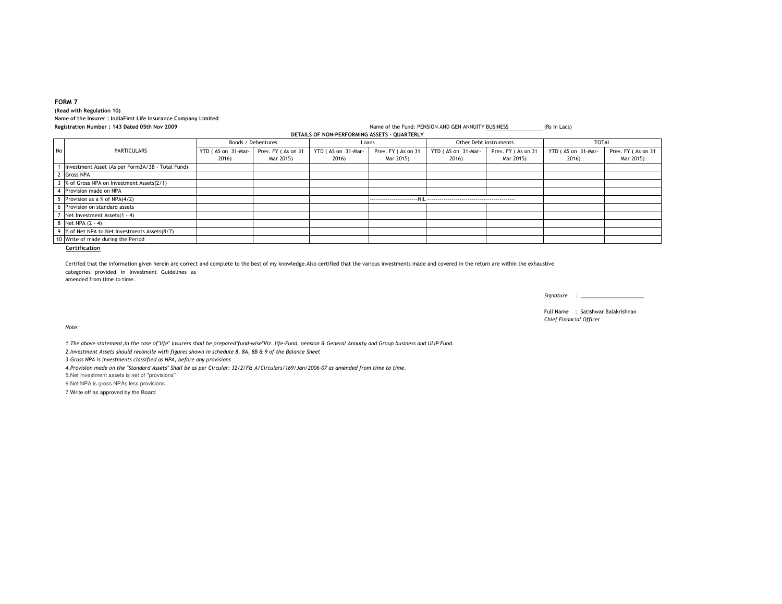## **FORM 7 (Read with Regulation 10) Name of the Insurer : IndiaFirst Life Insurance Company LimitedRegistration Number : 143 Dated 05th Nov 2009**

Name of the Fund: PENSION AND GEN ANNUITY BUSINESS (Rs in Lacs) **DETAILS OF NON-PERFORMING ASSETS - QUARTERLY**

|    |                                                  | Bonds / Debentures |                    | Loans              |                    | Other Debt instruments |                    | <b>TOTAL</b>       |                    |
|----|--------------------------------------------------|--------------------|--------------------|--------------------|--------------------|------------------------|--------------------|--------------------|--------------------|
| No | PARTICULARS                                      | YTD (AS on 31-Mar- | Prev. FY (As on 31 | YTD (AS on 31-Mar- | Prev. FY (As on 31 | YTD (AS on 31-Mar-     | Prev. FY (As on 31 | YTD (AS on 31-Mar- | Prev. FY (As on 31 |
|    |                                                  | 2016)              | Mar 2015)          | 2016)              | Mar 2015)          | 2016)                  | Mar 2015)          | 2016)              | Mar 2015)          |
|    | Investment Asset (As per Form3A/3B - Total Fund) |                    |                    |                    |                    |                        |                    |                    |                    |
|    | 2 Gross NPA                                      |                    |                    |                    |                    |                        |                    |                    |                    |
|    | % of Gross NPA on Investment Assets(2/1)         |                    |                    |                    |                    |                        |                    |                    |                    |
|    | 4 Provision made on NPA                          |                    |                    |                    |                    |                        |                    |                    |                    |
|    | Provision as a % of NPA(4/2)                     |                    |                    |                    |                    |                        |                    |                    |                    |
|    | Provision on standard assets                     |                    |                    |                    |                    |                        |                    |                    |                    |
|    | Net Investment Assets(1 - 4)                     |                    |                    |                    |                    |                        |                    |                    |                    |
|    | 8 Net NPA (2 - 4)                                |                    |                    |                    |                    |                        |                    |                    |                    |
|    | 9 % of Net NPA to Net Investments Assets(8/7)    |                    |                    |                    |                    |                        |                    |                    |                    |
|    | 10 Write of made during the Period               |                    |                    |                    |                    |                        |                    |                    |                    |

**Certification**

categories provided in Investment Guidelines as amended from time to time.Certifed that the information given herein are correct and complete to the best of my knowledge.Also certified that the various investments made and covered in the return are within the exhaustive

*Signature : \_\_\_\_\_\_\_\_\_\_\_\_\_\_\_\_\_\_\_\_\_\_*

Full Name : Satishwar Balakrishnan*Chief Financial Officer*

*Note:*

*1.The above statement,in the case of"life" insurers shall be prepared"fund-wise"Viz. life-Fund, pension & General Annuity and Group business and ULIP Fund.*

*2.Investment Assets should reconcile with figures shown in schedule 8, 8A, 8B & 9 of the Balance Sheet*

*3.Gross NPA is investments classified as NPA, before any provisions*

*4.Provision made on the "Standard Assets" Shall be as per Circular: 32/2/F& A/Circulars/169/Jan/2006-07 as amended from time to time.*

5.Net Investment assets is net of ''provisions''

6.Net NPA is gross NPAs less provisions

7.Write off as approved by the Board